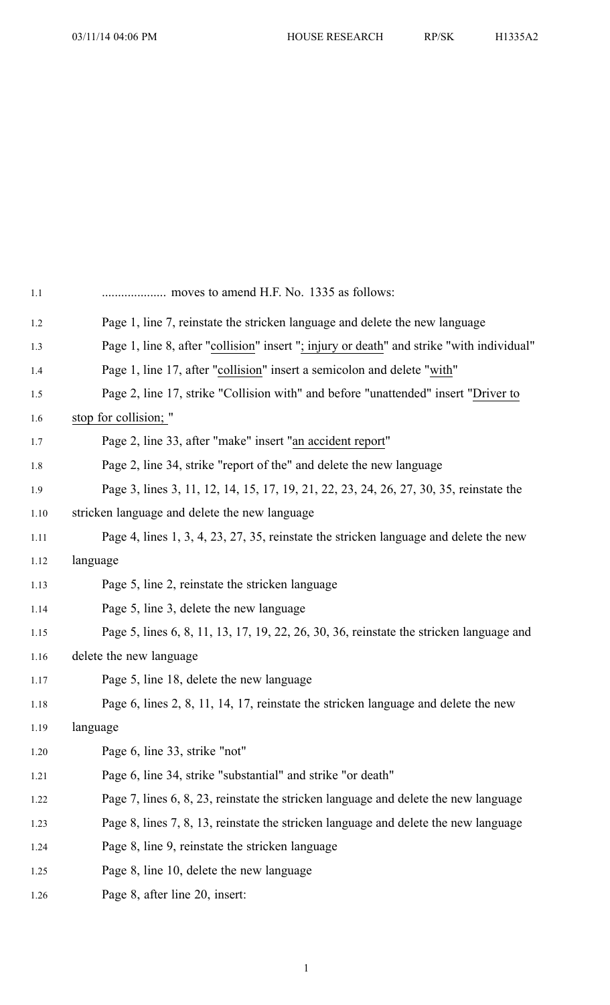| 1.1  | moves to amend H.F. No. 1335 as follows:                                                  |
|------|-------------------------------------------------------------------------------------------|
| 1.2  | Page 1, line 7, reinstate the stricken language and delete the new language               |
| 1.3  | Page 1, line 8, after "collision" insert "; injury or death" and strike "with individual" |
| 1.4  | Page 1, line 17, after "collision" insert a semicolon and delete "with"                   |
| 1.5  | Page 2, line 17, strike "Collision with" and before "unattended" insert "Driver to        |
| 1.6  | stop for collision; "                                                                     |
| 1.7  | Page 2, line 33, after "make" insert "an accident report"                                 |
| 1.8  | Page 2, line 34, strike "report of the" and delete the new language                       |
| 1.9  | Page 3, lines 3, 11, 12, 14, 15, 17, 19, 21, 22, 23, 24, 26, 27, 30, 35, reinstate the    |
| 1.10 | stricken language and delete the new language                                             |
| 1.11 | Page 4, lines 1, 3, 4, 23, 27, 35, reinstate the stricken language and delete the new     |
| 1.12 | language                                                                                  |
| 1.13 | Page 5, line 2, reinstate the stricken language                                           |
| 1.14 | Page 5, line 3, delete the new language                                                   |
| 1.15 | Page 5, lines 6, 8, 11, 13, 17, 19, 22, 26, 30, 36, reinstate the stricken language and   |
| 1.16 | delete the new language                                                                   |
| 1.17 | Page 5, line 18, delete the new language                                                  |
| 1.18 | Page 6, lines 2, 8, 11, 14, 17, reinstate the stricken language and delete the new        |
| 1.19 | language                                                                                  |
| 1.20 | Page 6, line 33, strike "not"                                                             |
| 1.21 | Page 6, line 34, strike "substantial" and strike "or death"                               |
| 1.22 | Page 7, lines 6, 8, 23, reinstate the stricken language and delete the new language       |
| 1.23 | Page 8, lines 7, 8, 13, reinstate the stricken language and delete the new language       |
| 1.24 | Page 8, line 9, reinstate the stricken language                                           |
| 1.25 | Page 8, line 10, delete the new language                                                  |
| 1.26 | Page 8, after line 20, insert:                                                            |